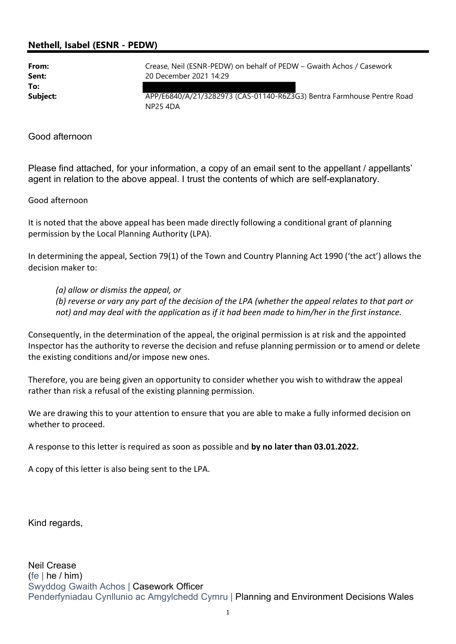## Nethell, Isabel (ESNR - PEDW)

To:

From: Crease, Neil (ESNR-PEDW) on behalf of PEDW – Gwaith Achos / Casework Sent: 20 December 2021 14:29

Subject: **APP/E6840/A/21/3282973 (CAS-01140-R6Z3G3)** Bentra Farmhouse Pentre Road NP25 4DA

## Good afternoon

Please find attached, for your information, a copy of an email sent to the appellant / appellants' agent in relation to the above appeal. I trust the contents of which are self-explanatory.

## Good afternoon

It is noted that the above appeal has been made directly following a conditional grant of planning permission by the Local Planning Authority (LPA).

In determining the appeal, Section 79(1) of the Town and Country Planning Act 1990 ('the act') allows the decision maker to:

(a) allow or dismiss the appeal, or

(b) reverse or vary any part of the decision of the LPA (whether the appeal relates to that part or not) and may deal with the application as if it had been made to him/her in the first instance.

Consequently, in the determination of the appeal, the original permission is at risk and the appointed Inspector has the authority to reverse the decision and refuse planning permission or to amend or delete the existing conditions and/or impose new ones.

Therefore, you are being given an opportunity to consider whether you wish to withdraw the appeal rather than risk a refusal of the existing planning permission.

We are drawing this to your attention to ensure that you are able to make a fully informed decision on whether to proceed.

A response to this letter is required as soon as possible and by no later than 03.01.2022.

A copy of this letter is also being sent to the LPA.

Kind regards,